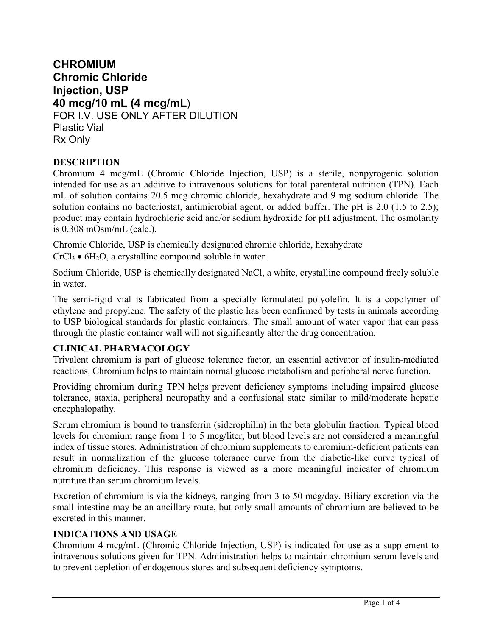# **CHROMIUM Chromic Chloride Injection, USP 40 mcg/10 mL (4 mcg/mL**) FOR I.V. USE ONLY AFTER DILUTION Plastic Vial Rx Only

# **DESCRIPTION**

Chromium 4 mcg/mL (Chromic Chloride Injection, USP) is a sterile, nonpyrogenic solution intended for use as an additive to intravenous solutions for total parenteral nutrition (TPN). Each mL of solution contains 20.5 mcg chromic chloride, hexahydrate and 9 mg sodium chloride. The solution contains no bacteriostat, antimicrobial agent, or added buffer. The pH is 2.0 (1.5 to 2.5); product may contain hydrochloric acid and/or sodium hydroxide for pH adjustment. The osmolarity is 0.308 mOsm/mL (calc.).

Chromic Chloride, USP is chemically designated chromic chloride, hexahydrate  $CrCl<sub>3</sub>$  • 6H<sub>2</sub>O, a crystalline compound soluble in water.

Sodium Chloride, USP is chemically designated NaCl, a white, crystalline compound freely soluble in water.

The semi-rigid vial is fabricated from a specially formulated polyolefin. It is a copolymer of ethylene and propylene. The safety of the plastic has been confirmed by tests in animals according to USP biological standards for plastic containers. The small amount of water vapor that can pass through the plastic container wall will not significantly alter the drug concentration.

## **CLINICAL PHARMACOLOGY**

Trivalent chromium is part of glucose tolerance factor, an essential activator of insulin-mediated reactions. Chromium helps to maintain normal glucose metabolism and peripheral nerve function.

Providing chromium during TPN helps prevent deficiency symptoms including impaired glucose tolerance, ataxia, peripheral neuropathy and a confusional state similar to mild/moderate hepatic encephalopathy.

Serum chromium is bound to transferrin (siderophilin) in the beta globulin fraction. Typical blood levels for chromium range from 1 to 5 mcg/liter, but blood levels are not considered a meaningful index of tissue stores. Administration of chromium supplements to chromium-deficient patients can result in normalization of the glucose tolerance curve from the diabetic-like curve typical of chromium deficiency. This response is viewed as a more meaningful indicator of chromium nutriture than serum chromium levels.

Excretion of chromium is via the kidneys, ranging from 3 to 50 mcg/day. Biliary excretion via the small intestine may be an ancillary route, but only small amounts of chromium are believed to be excreted in this manner.

## **INDICATIONS AND USAGE**

Chromium 4 mcg/mL (Chromic Chloride Injection, USP) is indicated for use as a supplement to intravenous solutions given for TPN. Administration helps to maintain chromium serum levels and to prevent depletion of endogenous stores and subsequent deficiency symptoms.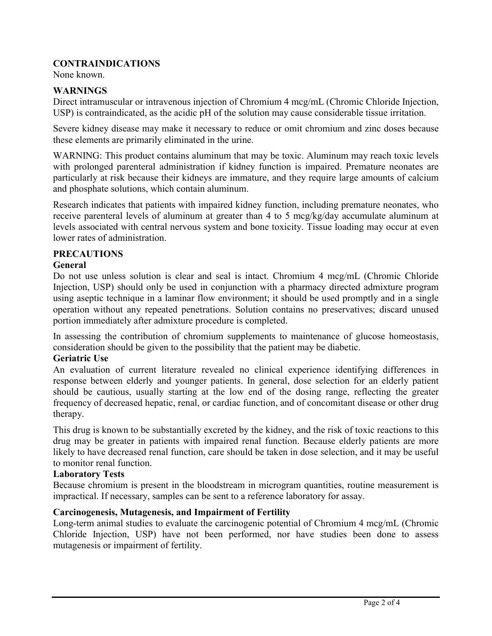# **CONTRAINDICATIONS**

None known.

## **WARNINGS**

Direct intramuscular or intravenous injection of Chromium 4 mcg/mL (Chromic Chloride Injection, USP) is contraindicated, as the acidic pH of the solution may cause considerable tissue irritation.

Severe kidney disease may make it necessary to reduce or omit chromium and zinc doses because these elements are primarily eliminated in the urine.

WARNING: This product contains aluminum that may be toxic. Aluminum may reach toxic levels with prolonged parenteral administration if kidney function is impaired. Premature neonates are particularly at risk because their kidneys are immature, and they require large amounts of calcium and phosphate solutions, which contain aluminum.

Research indicates that patients with impaired kidney function, including premature neonates, who receive parenteral levels of aluminum at greater than 4 to 5 mcg/kg/day accumulate aluminum at levels associated with central nervous system and bone toxicity. Tissue loading may occur at even lower rates of administration.

## **PRECAUTIONS**

#### **General**

Do not use unless solution is clear and seal is intact. Chromium 4 mcg/mL (Chromic Chloride Injection, USP) should only be used in conjunction with a pharmacy directed admixture program using aseptic technique in a laminar flow environment; it should be used promptly and in a single operation without any repeated penetrations. Solution contains no preservatives; discard unused portion immediately after admixture procedure is completed.

In assessing the contribution of chromium supplements to maintenance of glucose homeostasis, consideration should be given to the possibility that the patient may be diabetic.

#### **Geriatric Use**

An evaluation of current literature revealed no clinical experience identifying differences in response between elderly and younger patients. In general, dose selection for an elderly patient should be cautious, usually starting at the low end of the dosing range, reflecting the greater frequency of decreased hepatic, renal, or cardiac function, and of concomitant disease or other drug therapy.

This drug is known to be substantially excreted by the kidney, and the risk of toxic reactions to this drug may be greater in patients with impaired renal function. Because elderly patients are more likely to have decreased renal function, care should be taken in dose selection, and it may be useful to monitor renal function.

#### **Laboratory Tests**

Because chromium is present in the bloodstream in microgram quantities, routine measurement is impractical. If necessary, samples can be sent to a reference laboratory for assay.

## **Carcinogenesis, Mutagenesis, and Impairment of Fertility**

Long-term animal studies to evaluate the carcinogenic potential of Chromium 4 mcg/mL (Chromic Chloride Injection, USP) have not been performed, nor have studies been done to assess mutagenesis or impairment of fertility.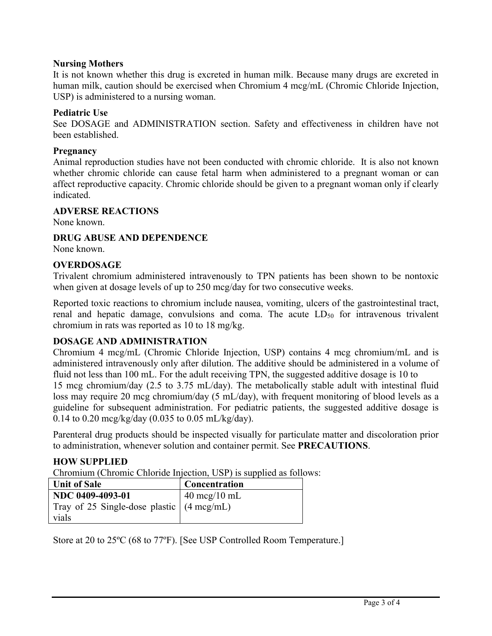## **Nursing Mothers**

It is not known whether this drug is excreted in human milk. Because many drugs are excreted in human milk, caution should be exercised when Chromium 4 mcg/mL (Chromic Chloride Injection, USP) is administered to a nursing woman.

## **Pediatric Use**

See DOSAGE and ADMINISTRATION section. Safety and effectiveness in children have not been established.

## **Pregnancy**

Animal reproduction studies have not been conducted with chromic chloride. It is also not known whether chromic chloride can cause fetal harm when administered to a pregnant woman or can affect reproductive capacity. Chromic chloride should be given to a pregnant woman only if clearly indicated.

## **ADVERSE REACTIONS**

None known.

# **DRUG ABUSE AND DEPENDENCE**

None known.

# **OVERDOSAGE**

Trivalent chromium administered intravenously to TPN patients has been shown to be nontoxic when given at dosage levels of up to 250 mcg/day for two consecutive weeks.

Reported toxic reactions to chromium include nausea, vomiting, ulcers of the gastrointestinal tract, renal and hepatic damage, convulsions and coma. The acute  $LD_{50}$  for intravenous trivalent chromium in rats was reported as 10 to 18 mg/kg.

# **DOSAGE AND ADMINISTRATION**

Chromium 4 mcg/mL (Chromic Chloride Injection, USP) contains 4 mcg chromium/mL and is administered intravenously only after dilution. The additive should be administered in a volume of fluid not less than 100 mL. For the adult receiving TPN, the suggested additive dosage is 10 to 15 mcg chromium/day (2.5 to 3.75 mL/day). The metabolically stable adult with intestinal fluid loss may require 20 mcg chromium/day (5 mL/day), with frequent monitoring of blood levels as a guideline for subsequent administration. For pediatric patients, the suggested additive dosage is 0.14 to 0.20 mcg/kg/day (0.035 to 0.05 mL/kg/day).

Parenteral drug products should be inspected visually for particulate matter and discoloration prior to administration, whenever solution and container permit. See **PRECAUTIONS**.

## **HOW SUPPLIED**

Chromium (Chromic Chloride Injection, USP) is supplied as follows:

| <b>Unit of Sale</b>                                 | <b>Concentration</b>           |
|-----------------------------------------------------|--------------------------------|
| NDC 0409-4093-01                                    | $40 \text{~mg}/10 \text{~m}$ L |
| Tray of 25 Single-dose plastic $(4 \text{ mcg/mL})$ |                                |
| vials                                               |                                |

Store at 20 to 25ºC (68 to 77ºF). [See USP Controlled Room Temperature.]